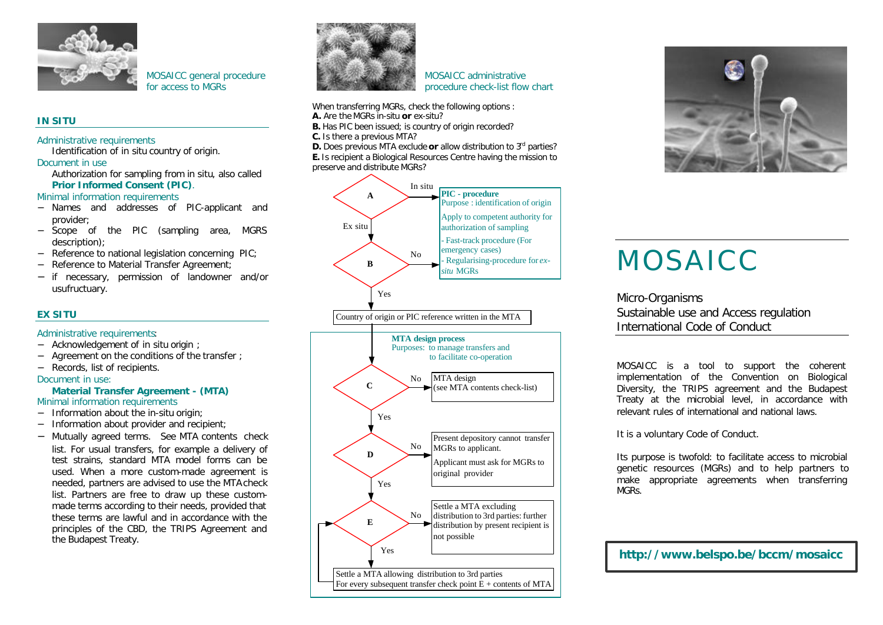

MOSAICC general procedure for access to MGRs

# **IN SITU**

#### Administrative requirements

Identification of *in situ* country of origin. Document in use

Authorization for sampling from *in situ*, also called **Prior Informed Consent (PIC)**.

Minimal information requirements

- − Names and addresses of PIC-applicant and provider;
- − Scope of the PIC (sampling area, MGRS description);
- − Reference to national legislation concerning PIC;
- − Reference to Material Transfer Agreement;
- − if necessary, permission of landowner and/or usufructuary.

# **EX SITU**

## Administrative requirements:

- − Acknowledgement of *in situ* origin ;
- − Agreement on the conditions of the transfer ;
- − Records, list of recipients.

#### Document in use:

#### **Material Transfer Agreement - (MTA)** Minimal information requirements

- 
- − Information about the *in-situ* origin;
- − Information about provider and recipient;
- − Mutually agreed terms.See MTA contents check list. For usual transfers, for example a delivery of test strains, standard MTA model forms can be used. When a more custom-made agreement is needed, partners are advised to use the MTA check list. Partners are free to draw up these custommade terms according to their needs, provided that these terms are lawful and in accordance with the principles of the CBD, the TRIPS Agreement and the Budapest Treaty.



MOSAICC administrative procedure check-list flow chart

When transferring MGRs, check the following options :

- **A.** Are the MGRs *in-situ* **or** *ex-situ*?
- **B.** Has PIC been issued; is country of origin recorded?
- **C.** Is there a previous MTA?

**D.** Does previous MTA exclude or allow distribution to 3<sup>rd</sup> parties? **E.** Is recipient a Biological Resources Centre having the mission to preserve and distribute MGRs?





# MOSAICC

Micro-Organisms Sustainable use and Access regulation International Code of Conduct

MOSAICC is a tool to support the coherent implementation of the Convention on Biological Diversity, the TRIPS agreement and the Budapest Treaty at the microbial level, in accordance with relevant rules of international and national laws.

It is a voluntary Code of Conduct.

Its purpose is twofold: to facilitate access to microbial genetic resources (MGRs) and to help partners to make appropriate agreements when transferring MGRs.

**http://www.belspo.be/bccm/mosaicc**